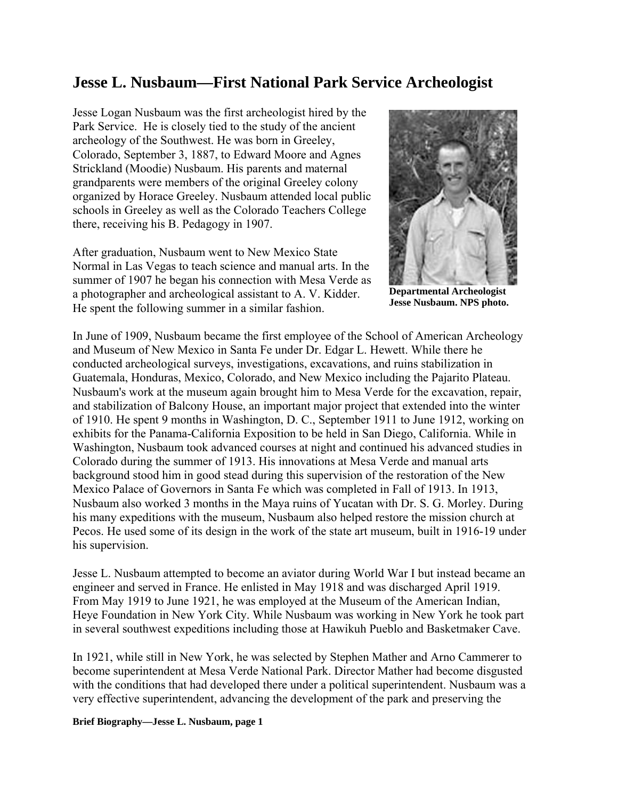## **Jesse L. Nusbaum—First National Park Service Archeologist**

Jesse Logan Nusbaum was the first archeologist hired by the Park Service. He is closely tied to the study of the ancient archeology of the Southwest. He was born in Greeley, Colorado, September 3, 1887, to Edward Moore and Agnes Strickland (Moodie) Nusbaum. His parents and maternal grandparents were members of the original Greeley colony organized by Horace Greeley. Nusbaum attended local public schools in Greeley as well as the Colorado Teachers College there, receiving his B. Pedagogy in 1907.

After graduation, Nusbaum went to New Mexico State Normal in Las Vegas to teach science and manual arts. In the summer of 1907 he began his connection with Mesa Verde as a photographer and archeological assistant to A. V. Kidder. He spent the following summer in a similar fashion.



**Departmental Archeologist Jesse Nusbaum. NPS photo.** 

In June of 1909, Nusbaum became the first employee of the School of American Archeology and Museum of New Mexico in Santa Fe under Dr. Edgar L. Hewett. While there he conducted archeological surveys, investigations, excavations, and ruins stabilization in Guatemala, Honduras, Mexico, Colorado, and New Mexico including the Pajarito Plateau. Nusbaum's work at the museum again brought him to Mesa Verde for the excavation, repair, and stabilization of Balcony House, an important major project that extended into the winter of 1910. He spent 9 months in Washington, D. C., September 1911 to June 1912, working on exhibits for the Panama-California Exposition to be held in San Diego, California. While in Washington, Nusbaum took advanced courses at night and continued his advanced studies in Colorado during the summer of 1913. His innovations at Mesa Verde and manual arts background stood him in good stead during this supervision of the restoration of the New Mexico Palace of Governors in Santa Fe which was completed in Fall of 1913. In 1913, Nusbaum also worked 3 months in the Maya ruins of Yucatan with Dr. S. G. Morley. During his many expeditions with the museum, Nusbaum also helped restore the mission church at Pecos. He used some of its design in the work of the state art museum, built in 1916-19 under his supervision.

Jesse L. Nusbaum attempted to become an aviator during World War I but instead became an engineer and served in France. He enlisted in May 1918 and was discharged April 1919. From May 1919 to June 1921, he was employed at the Museum of the American Indian, Heye Foundation in New York City. While Nusbaum was working in New York he took part in several southwest expeditions including those at Hawikuh Pueblo and Basketmaker Cave.

In 1921, while still in New York, he was selected by Stephen Mather and Arno Cammerer to become superintendent at Mesa Verde National Park. Director Mather had become disgusted with the conditions that had developed there under a political superintendent. Nusbaum was a very effective superintendent, advancing the development of the park and preserving the

**Brief Biography—Jesse L. Nusbaum, page 1**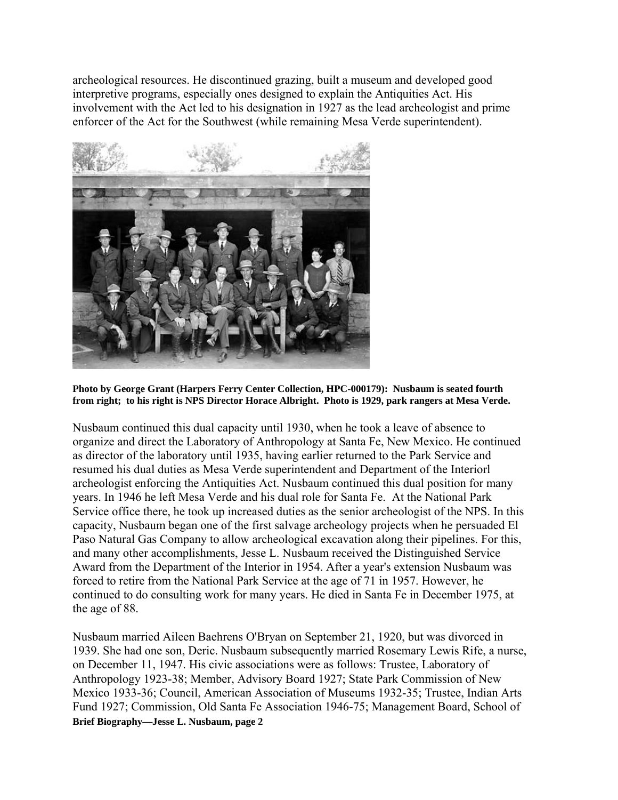archeological resources. He discontinued grazing, built a museum and developed good interpretive programs, especially ones designed to explain the Antiquities Act. His involvement with the Act led to his designation in 1927 as the lead archeologist and prime enforcer of the Act for the Southwest (while remaining Mesa Verde superintendent).



**Photo by George Grant (Harpers Ferry Center Collection, HPC-000179): Nusbaum is seated fourth from right; to his right is NPS Director Horace Albright. Photo is 1929, park rangers at Mesa Verde.** 

Nusbaum continued this dual capacity until 1930, when he took a leave of absence to organize and direct the Laboratory of Anthropology at Santa Fe, New Mexico. He continued as director of the laboratory until 1935, having earlier returned to the Park Service and resumed his dual duties as Mesa Verde superintendent and Department of the Interiorl archeologist enforcing the Antiquities Act. Nusbaum continued this dual position for many years. In 1946 he left Mesa Verde and his dual role for Santa Fe. At the National Park Service office there, he took up increased duties as the senior archeologist of the NPS. In this capacity, Nusbaum began one of the first salvage archeology projects when he persuaded El Paso Natural Gas Company to allow archeological excavation along their pipelines. For this, and many other accomplishments, Jesse L. Nusbaum received the Distinguished Service Award from the Department of the Interior in 1954. After a year's extension Nusbaum was forced to retire from the National Park Service at the age of 71 in 1957. However, he continued to do consulting work for many years. He died in Santa Fe in December 1975, at the age of 88.

**Brief Biography—Jesse L. Nusbaum, page 2**  Nusbaum married Aileen Baehrens O'Bryan on September 21, 1920, but was divorced in 1939. She had one son, Deric. Nusbaum subsequently married Rosemary Lewis Rife, a nurse, on December 11, 1947. His civic associations were as follows: Trustee, Laboratory of Anthropology 1923-38; Member, Advisory Board 1927; State Park Commission of New Mexico 1933-36; Council, American Association of Museums 1932-35; Trustee, Indian Arts Fund 1927; Commission, Old Santa Fe Association 1946-75; Management Board, School of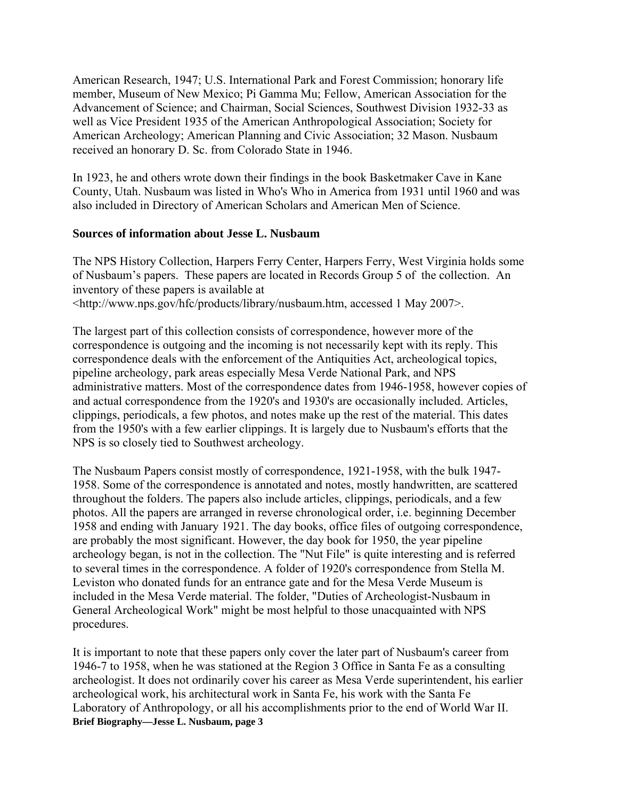American Research, 1947; U.S. International Park and Forest Commission; honorary life member, Museum of New Mexico; Pi Gamma Mu; Fellow, American Association for the Advancement of Science; and Chairman, Social Sciences, Southwest Division 1932-33 as well as Vice President 1935 of the American Anthropological Association; Society for American Archeology; American Planning and Civic Association; 32 Mason. Nusbaum received an honorary D. Sc. from Colorado State in 1946.

In 1923, he and others wrote down their findings in the book Basketmaker Cave in Kane County, Utah. Nusbaum was listed in Who's Who in America from 1931 until 1960 and was also included in Directory of American Scholars and American Men of Science.

## **Sources of information about Jesse L. Nusbaum**

The NPS History Collection, Harpers Ferry Center, Harpers Ferry, West Virginia holds some of Nusbaum's papers. These papers are located in Records Group 5 of the collection. An inventory of these papers is available at <http://www.nps.gov/hfc/products/library/nusbaum.htm, accessed 1 May 2007>.

The largest part of this collection consists of correspondence, however more of the correspondence is outgoing and the incoming is not necessarily kept with its reply. This correspondence deals with the enforcement of the Antiquities Act, archeological topics, pipeline archeology, park areas especially Mesa Verde National Park, and NPS administrative matters. Most of the correspondence dates from 1946-1958, however copies of and actual correspondence from the 1920's and 1930's are occasionally included. Articles, clippings, periodicals, a few photos, and notes make up the rest of the material. This dates from the 1950's with a few earlier clippings. It is largely due to Nusbaum's efforts that the NPS is so closely tied to Southwest archeology.

The Nusbaum Papers consist mostly of correspondence, 1921-1958, with the bulk 1947- 1958. Some of the correspondence is annotated and notes, mostly handwritten, are scattered throughout the folders. The papers also include articles, clippings, periodicals, and a few photos. All the papers are arranged in reverse chronological order, i.e. beginning December 1958 and ending with January 1921. The day books, office files of outgoing correspondence, are probably the most significant. However, the day book for 1950, the year pipeline archeology began, is not in the collection. The "Nut File" is quite interesting and is referred to several times in the correspondence. A folder of 1920's correspondence from Stella M. Leviston who donated funds for an entrance gate and for the Mesa Verde Museum is included in the Mesa Verde material. The folder, "Duties of Archeologist-Nusbaum in General Archeological Work" might be most helpful to those unacquainted with NPS procedures.

**Brief Biography—Jesse L. Nusbaum, page 3**  It is important to note that these papers only cover the later part of Nusbaum's career from 1946-7 to 1958, when he was stationed at the Region 3 Office in Santa Fe as a consulting archeologist. It does not ordinarily cover his career as Mesa Verde superintendent, his earlier archeological work, his architectural work in Santa Fe, his work with the Santa Fe Laboratory of Anthropology, or all his accomplishments prior to the end of World War II.